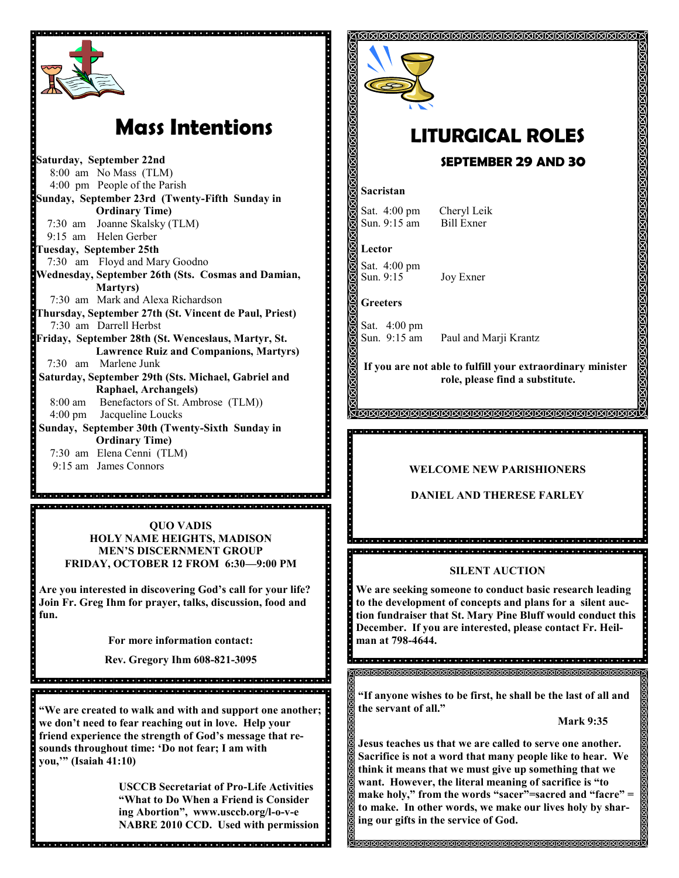

# **Mass Intentions**

**Saturday, September 22nd** 8:00 am No Mass (TLM) 4:00 pm People of the Parish **Sunday, September 23rd (Twenty-Fifth Sunday in Ordinary Time)** 7:30 am Joanne Skalsky (TLM) 9:15 am Helen Gerber **Tuesday, September 25th** 7:30 am Floyd and Mary Goodno **Wednesday, September 26th (Sts. Cosmas and Damian, Martyrs)** 7:30 am Mark and Alexa Richardson **Thursday, September 27th (St. Vincent de Paul, Priest)** 7:30 am Darrell Herbst **Friday, September 28th (St. Wenceslaus, Martyr, St. Lawrence Ruiz and Companions, Martyrs)** 7:30 am Marlene Junk **Saturday, September 29th (Sts. Michael, Gabriel and Raphael, Archangels)** 8:00 am Benefactors of St. Ambrose (TLM)) 4:00 pm Jacqueline Loucks **Sunday, September 30th (Twenty-Sixth Sunday in Ordinary Time)** 7:30 am Elena Cenni (TLM) 9:15 am James Connors

> **QUO VADIS HOLY NAME HEIGHTS, MADISON MEN'S DISCERNMENT GROUP FRIDAY, OCTOBER 12 FROM 6:30—9:00 PM**

**Are you interested in discovering God's call for your life? Join Fr. Greg Ihm for prayer, talks, discussion, food and fun.**

**For more information contact:** 

**Rev. Gregory Ihm 608-821-3095** 

**"We are created to walk and with and support one another; we don't need to fear reaching out in love. Help your friend experience the strength of God's message that resounds throughout time: 'Do not fear; I am with you,'" (Isaiah 41:10)**

**USCCB Secretariat of Pro-Life Activities "What to Do When a Friend is Consider ing Abortion", www.usccb.org/l-o-v-e NABRE 2010 CCD. Used with permission**



## **LITURGICAL ROLES SEPTEMBER 29 AND 30**

#### **Sacristan**

Sat. 4:00 pm Cheryl Leik Sun. 9:15 am Bill Exner

**Lector**

Sat. 4:00 pm Sun. 9:15 Joy Exner

**Greeters**

a a sistemativo e e esta eletrata e e e esta de letrata e e e e esta eletrata e e esta eletrata eletrata.

**.......** 

Sat. 4:00 pm

Sun. 9:15 am Paul and Marji Krantz

**If you are not able to fulfill your extraordinary minister role, please find a substitute.** 

#### **WELCOME NEW PARISHIONERS**

**DANIEL AND THERESE FARLEY**

#### **SILENT AUCTION**

.<br>2000 : 100 : 100 : 100 : 100 : 100 : 100 : 100 : 100 : 100 : 100 : 100 : 100 : 100 : 100 : 100 : 100 : 100 : 1 

**We are seeking someone to conduct basic research leading to the development of concepts and plans for a silent auction fundraiser that St. Mary Pine Bluff would conduct this December. If you are interested, please contact Fr. Heilman at 798-4644.**

**"If anyone wishes to be first, he shall be the last of all and the servant of all."**

**Mark 9:35**

**Jesus teaches us that we are called to serve one another. Sacrifice is not a word that many people like to hear. We think it means that we must give up something that we want. However, the literal meaning of sacrifice is "to make holy," from the words "sacer"=sacred and "facre" = to make. In other words, we make our lives holy by sharing our gifts in the service of God.** 

**SKRISKRISK SKRISKSKRISKSK**